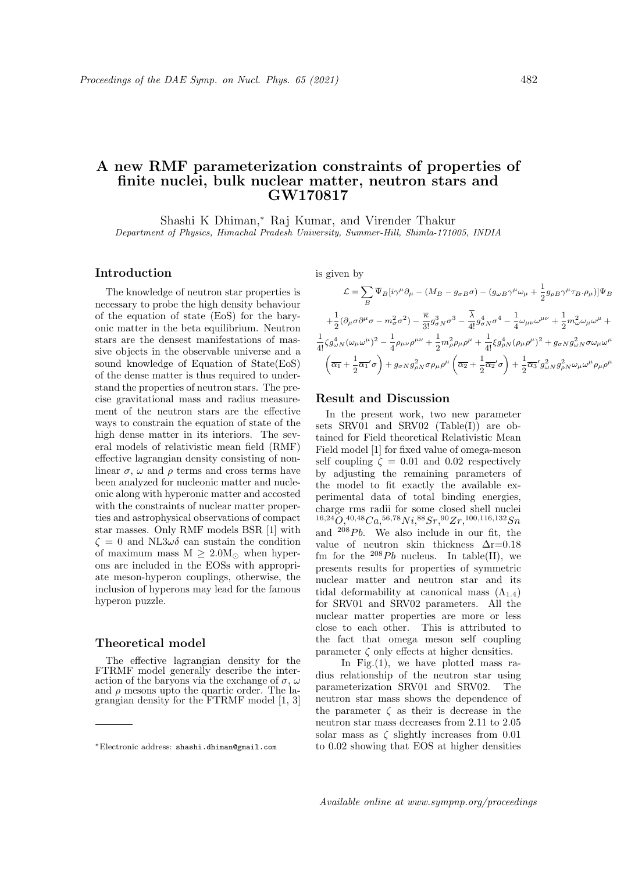# A new RMF parameterization constraints of properties of finite nuclei, bulk nuclear matter, neutron stars and GW170817

Shashi K Dhiman,<sup>∗</sup> Raj Kumar, and Virender Thakur Department of Physics, Himachal Pradesh University, Summer-Hill, Shimla-171005, INDIA

### Introduction

The knowledge of neutron star properties is necessary to probe the high density behaviour of the equation of state (EoS) for the baryonic matter in the beta equilibrium. Neutron stars are the densest manifestations of massive objects in the observable universe and a sound knowledge of Equation of State(EoS) of the dense matter is thus required to understand the properties of neutron stars. The precise gravitational mass and radius measurement of the neutron stars are the effective ways to constrain the equation of state of the high dense matter in its interiors. The several models of relativistic mean field (RMF) effective lagrangian density consisting of nonlinear  $\sigma$ ,  $\omega$  and  $\rho$  terms and cross terms have been analyzed for nucleonic matter and nucleonic along with hyperonic matter and accosted with the constraints of nuclear matter properties and astrophysical observations of compact star masses. Only RMF models BSR [1] with  $\zeta = 0$  and NL3 $\omega\delta$  can sustain the condition of maximum mass  $M \geq 2.0 M_{\odot}$  when hyperons are included in the EOSs with appropriate meson-hyperon couplings, otherwise, the inclusion of hyperons may lead for the famous hyperon puzzle.

#### Theoretical model

The effective lagrangian density for the FTRMF model generally describe the interaction of the baryons via the exchange of  $\sigma$ ,  $\omega$ and  $\rho$  mesons upto the quartic order. The lagrangian density for the FTRMF model [1, 3]

is given by

$$
\mathcal{L} = \sum_{B} \overline{\Psi}_{B} [i\gamma^{\mu} \partial_{\mu} - (M_{B} - g_{\sigma B} \sigma) - (g_{\omega B} \gamma^{\mu} \omega_{\mu} + \frac{1}{2} g_{\rho B} \gamma^{\mu} \tau_{B} \cdot \rho_{\mu})] \Psi_{B}
$$
  
+  $\frac{1}{2} (\partial_{\mu} \sigma \partial^{\mu} \sigma - m_{\sigma}^{2} \sigma^{2}) - \frac{\overline{\kappa}}{3!} g_{\sigma N}^{3} \sigma^{3} - \frac{\overline{\lambda}}{4!} g_{\sigma N}^{4} \sigma^{4} - \frac{1}{4} \omega_{\mu \nu} \omega^{\mu \nu} + \frac{1}{2} m_{\omega}^{2} \omega_{\mu} \omega^{\mu} + \frac{1}{4!} \zeta g_{\omega N}^{4} (\omega_{\mu} \omega^{\mu})^{2} - \frac{1}{4} \rho_{\mu \nu} \rho^{\mu \nu} + \frac{1}{2} m_{\rho}^{2} \rho_{\mu} \rho^{\mu} + \frac{1}{4!} \xi g_{\rho N}^{4} (\rho_{\mu} \rho^{\mu})^{2} + g_{\sigma N} g_{\omega N}^{2} \sigma \omega_{\mu} \omega^{\mu} + \frac{1}{2} \overline{\alpha_{1}}' \sigma + \frac{1}{2} \overline{\alpha_{1}}' \sigma + g_{\sigma N} g_{\rho N}^{2} \sigma \rho_{\mu} \rho^{\mu} \left( \overline{\alpha_{2}} + \frac{1}{2} \overline{\alpha_{2}}' \sigma \right) + \frac{1}{2} \overline{\alpha_{3}}' g_{\omega N}^{2} g_{\rho N}^{2} \omega_{\mu} \omega^{\mu} \rho_{\mu} \rho^{\mu}$ 

#### Result and Discussion

In the present work, two new parameter sets SRV01 and SRV02 (Table(I)) are obtained for Field theoretical Relativistic Mean Field model [1] for fixed value of omega-meson self coupling  $\zeta = 0.01$  and 0.02 respectively by adjusting the remaining parameters of the model to fit exactly the available experimental data of total binding energies, charge rms radii for some closed shell nuclei  $^{16,24}O, ^{40,48}Ca, ^{56,78}Ni, ^{88}Sr, ^{90}Zr, ^{100,116,132}Sn$ and  $^{208}Pb$ . We also include in our fit, the value of neutron skin thickness ∆r=0.18 fm for the  $^{208}Pb$  nucleus. In table(II), we presents results for properties of symmetric nuclear matter and neutron star and its tidal deformability at canonical mass  $(\Lambda_{1,4})$ for SRV01 and SRV02 parameters. All the nuclear matter properties are more or less close to each other. This is attributed to the fact that omega meson self coupling parameter  $\zeta$  only effects at higher densities.

In Fig. $(1)$ , we have plotted mass radius relationship of the neutron star using parameterization SRV01 and SRV02. The neutron star mass shows the dependence of the parameter  $\zeta$  as their is decrease in the neutron star mass decreases from 2.11 to 2.05 solar mass as  $\zeta$  slightly increases from 0.01 to 0.02 showing that EOS at higher densities

<sup>∗</sup>Electronic address: shashi.dhiman@gmail.com